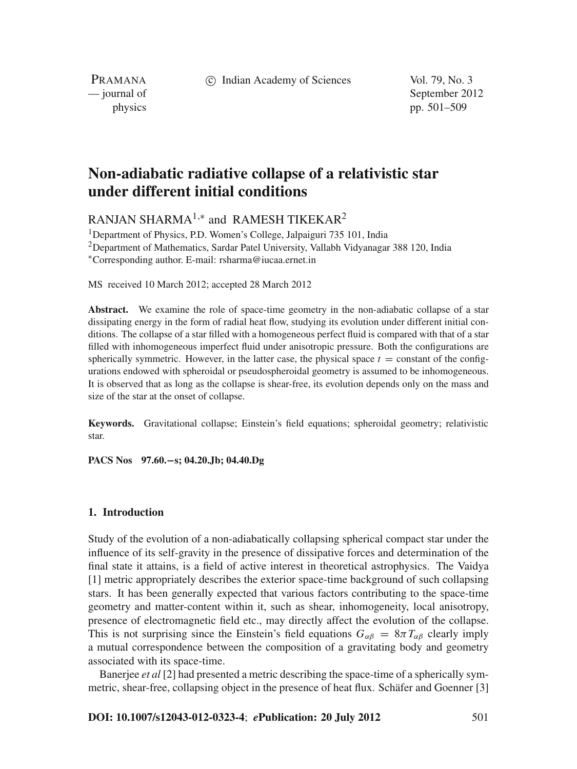c Indian Academy of Sciences Vol. 79, No. 3

PRAMANA

— journal of September 2012 physics pp. 501–509

# **Non-adiabatic radiative collapse of a relativistic star under different initial conditions**

RANJAN SHARMA<sup>1,\*</sup> and RAMESH TIKEKAR<sup>2</sup>

<sup>1</sup>Department of Physics, P.D. Women's College, Jalpaiguri 735 101, India  $2$ Department of Mathematics, Sardar Patel University, Vallabh Vidyanagar 388 120, India <sup>∗</sup>Corresponding author. E-mail: rsharma@iucaa.ernet.in

MS received 10 March 2012; accepted 28 March 2012

**Abstract.** We examine the role of space-time geometry in the non-adiabatic collapse of a star dissipating energy in the form of radial heat flow, studying its evolution under different initial conditions. The collapse of a star filled with a homogeneous perfect fluid is compared with that of a star filled with inhomogeneous imperfect fluid under anisotropic pressure. Both the configurations are spherically symmetric. However, in the latter case, the physical space  $t =$  constant of the configurations endowed with spheroidal or pseudospheroidal geometry is assumed to be inhomogeneous. It is observed that as long as the collapse is shear-free, its evolution depends only on the mass and size of the star at the onset of collapse.

**Keywords.** Gravitational collapse; Einstein's field equations; spheroidal geometry; relativistic star.

**PACS Nos 97.60.−s; 04.20.Jb; 04.40.Dg**

### **1. Introduction**

Study of the evolution of a non-adiabatically collapsing spherical compact star under the influence of its self-gravity in the presence of dissipative forces and determination of the final state it attains, is a field of active interest in theoretical astrophysics. The Vaidya [1] metric appropriately describes the exterior space-time background of such collapsing stars. It has been generally expected that various factors contributing to the space-time geometry and matter-content within it, such as shear, inhomogeneity, local anisotropy, presence of electromagnetic field etc., may directly affect the evolution of the collapse. This is not surprising since the Einstein's field equations  $G_{\alpha\beta} = 8\pi T_{\alpha\beta}$  clearly imply a mutual correspondence between the composition of a gravitating body and geometry associated with its space-time.

Banerjee *et al* [2] had presented a metric describing the space-time of a spherically symmetric, shear-free, collapsing object in the presence of heat flux. Schäfer and Goenner [3]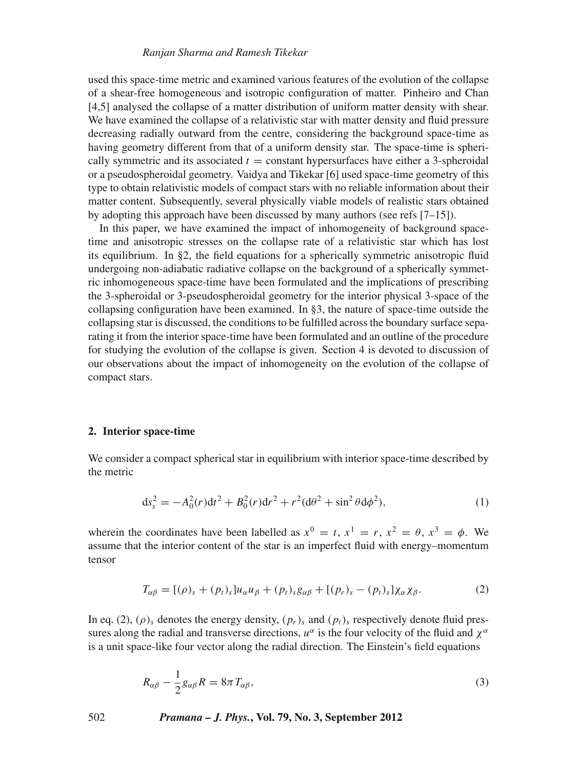### *Ranjan Sharma and Ramesh Tikekar*

used this space-time metric and examined various features of the evolution of the collapse of a shear-free homogeneous and isotropic configuration of matter. Pinheiro and Chan [4,5] analysed the collapse of a matter distribution of uniform matter density with shear. We have examined the collapse of a relativistic star with matter density and fluid pressure decreasing radially outward from the centre, considering the background space-time as having geometry different from that of a uniform density star. The space-time is spherically symmetric and its associated  $t = constant$  hypersurfaces have either a 3-spheroidal or a pseudospheroidal geometry. Vaidya and Tikekar [6] used space-time geometry of this type to obtain relativistic models of compact stars with no reliable information about their matter content. Subsequently, several physically viable models of realistic stars obtained by adopting this approach have been discussed by many authors (see refs [7–15]).

In this paper, we have examined the impact of inhomogeneity of background spacetime and anisotropic stresses on the collapse rate of a relativistic star which has lost its equilibrium. In §2, the field equations for a spherically symmetric anisotropic fluid undergoing non-adiabatic radiative collapse on the background of a spherically symmetric inhomogeneous space-time have been formulated and the implications of prescribing the 3-spheroidal or 3-pseudospheroidal geometry for the interior physical 3-space of the collapsing configuration have been examined. In §3, the nature of space-time outside the collapsing star is discussed, the conditions to be fulfilled across the boundary surface separating it from the interior space-time have been formulated and an outline of the procedure for studying the evolution of the collapse is given. Section 4 is devoted to discussion of our observations about the impact of inhomogeneity on the evolution of the collapse of compact stars.

### **2. Interior space-time**

We consider a compact spherical star in equilibrium with interior space-time described by the metric

$$
ds_s^2 = -A_0^2(r)dt^2 + B_0^2(r)dr^2 + r^2(d\theta^2 + \sin^2\theta d\phi^2),
$$
 (1)

wherein the coordinates have been labelled as  $x^0 = t$ ,  $x^1 = r$ ,  $x^2 = \theta$ ,  $x^3 = \phi$ . We assume that the interior content of the star is an imperfect fluid with energy–momentum tensor

$$
T_{\alpha\beta} = [(\rho)_s + (p_t)_s]u_{\alpha}u_{\beta} + (p_t)_s g_{\alpha\beta} + [(p_r)_s - (p_t)_s]\chi_{\alpha}\chi_{\beta}.
$$
 (2)

In eq. (2),  $(\rho)$ <sub>s</sub> denotes the energy density,  $(p_r)$ <sub>s</sub> and  $(p_t)$ <sub>s</sub> respectively denote fluid pressures along the radial and transverse directions,  $u^{\alpha}$  is the four velocity of the fluid and  $\chi^{\alpha}$ is a unit space-like four vector along the radial direction. The Einstein's field equations

$$
R_{\alpha\beta} - \frac{1}{2}g_{\alpha\beta}R = 8\pi T_{\alpha\beta},\tag{3}
$$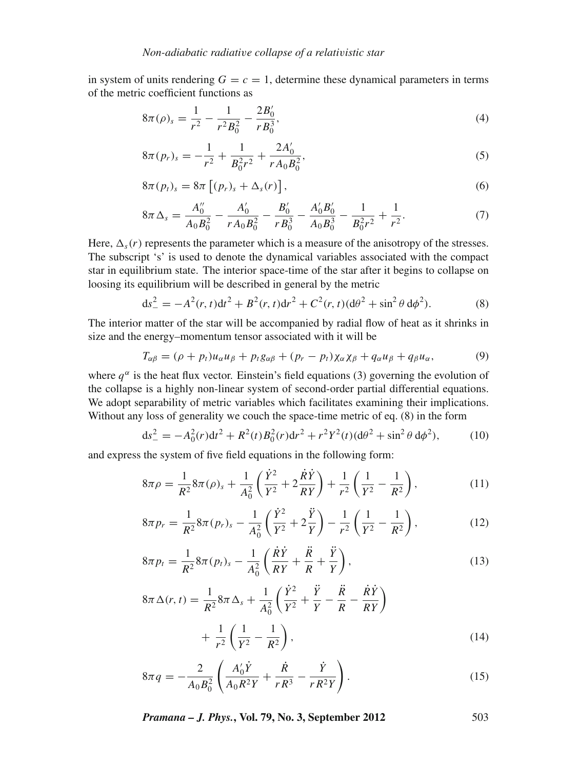in system of units rendering  $G = c = 1$ , determine these dynamical parameters in terms of the metric coefficient functions as

$$
8\pi(\rho)_s = \frac{1}{r^2} - \frac{1}{r^2 B_0^2} - \frac{2B_0'}{r B_0^3},\tag{4}
$$

$$
8\pi (p_r)_s = -\frac{1}{r^2} + \frac{1}{B_0^2 r^2} + \frac{2A'_0}{r A_0 B_0^2},\tag{5}
$$

$$
8\pi(p_t)_s = 8\pi \left[ (p_r)_s + \Delta_s(r) \right],\tag{6}
$$

$$
8\pi\,\Delta_s = \frac{A_0''}{A_0B_0^2} - \frac{A_0'}{rA_0B_0^2} - \frac{B_0'}{rB_0^3} - \frac{A_0'B_0'}{A_0B_0^3} - \frac{1}{B_0^2r^2} + \frac{1}{r^2}.\tag{7}
$$

Here,  $\Delta_s(r)$  represents the parameter which is a measure of the anisotropy of the stresses. The subscript 's' is used to denote the dynamical variables associated with the compact star in equilibrium state. The interior space-time of the star after it begins to collapse on loosing its equilibrium will be described in general by the metric

$$
ds_{-}^{2} = -A^{2}(r, t)dt^{2} + B^{2}(r, t)dr^{2} + C^{2}(r, t)(d\theta^{2} + \sin^{2}\theta \, d\phi^{2}).
$$
\n(8)

The interior matter of the star will be accompanied by radial flow of heat as it shrinks in size and the energy–momentum tensor associated with it will be

$$
T_{\alpha\beta} = (\rho + p_t)u_{\alpha}u_{\beta} + p_t g_{\alpha\beta} + (p_r - p_t)\chi_{\alpha}\chi_{\beta} + q_{\alpha}u_{\beta} + q_{\beta}u_{\alpha},\tag{9}
$$

where  $q^{\alpha}$  is the heat flux vector. Einstein's field equations (3) governing the evolution of the collapse is a highly non-linear system of second-order partial differential equations. We adopt separability of metric variables which facilitates examining their implications. Without any loss of generality we couch the space-time metric of eq. (8) in the form

$$
ds_{-}^{2} = -A_0^2(r)dt^2 + R^2(t)B_0^2(r)dr^2 + r^2Y^2(t)(d\theta^2 + \sin^2\theta \, d\phi^2),\tag{10}
$$

and express the system of five field equations in the following form:

$$
8\pi\rho = \frac{1}{R^2} 8\pi(\rho)_s + \frac{1}{A_0^2} \left( \frac{\dot{Y}^2}{Y^2} + 2\frac{\dot{R}\dot{Y}}{RY} \right) + \frac{1}{r^2} \left( \frac{1}{Y^2} - \frac{1}{R^2} \right),\tag{11}
$$

$$
8\pi p_r = \frac{1}{R^2} 8\pi (p_r)_s - \frac{1}{A_0^2} \left( \frac{\dot{Y}^2}{Y^2} + 2\frac{\ddot{Y}}{Y} \right) - \frac{1}{r^2} \left( \frac{1}{Y^2} - \frac{1}{R^2} \right),\tag{12}
$$

$$
8\pi p_t = \frac{1}{R^2} 8\pi (p_t)_s - \frac{1}{A_0^2} \left( \frac{\dot{R}\dot{Y}}{RY} + \frac{\ddot{R}}{R} + \frac{\ddot{Y}}{Y} \right),\tag{13}
$$

$$
8\pi \Delta(r, t) = \frac{1}{R^2} 8\pi \Delta_s + \frac{1}{A_0^2} \left( \frac{\dot{Y}^2}{Y^2} + \frac{\ddot{Y}}{Y} - \frac{\ddot{R}}{R} - \frac{\dot{R}\dot{Y}}{RY} \right) + \frac{1}{r^2} \left( \frac{1}{Y^2} - \frac{1}{R^2} \right),
$$
\n(14)

$$
8\pi q = -\frac{2}{A_0 B_0^2} \left( \frac{A_0' \dot{Y}}{A_0 R^2 Y} + \frac{\dot{R}}{r R^3} - \frac{\dot{Y}}{r R^2 Y} \right). \tag{15}
$$

*Pramana – J. Phys.***, Vol. 79, No. 3, September 2012** 503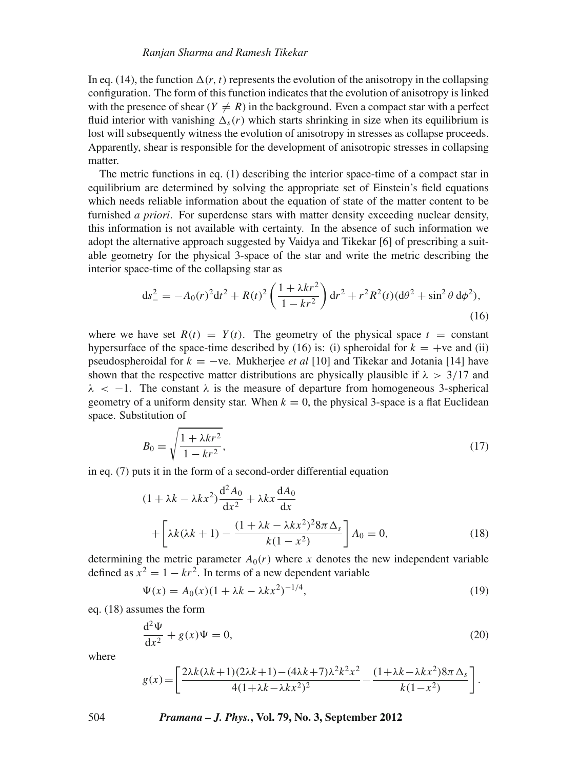In eq. (14), the function  $\Delta(r, t)$  represents the evolution of the anisotropy in the collapsing configuration. The form of this function indicates that the evolution of anisotropy is linked with the presence of shear  $(Y \neq R)$  in the background. Even a compact star with a perfect fluid interior with vanishing  $\Delta_{s}(r)$  which starts shrinking in size when its equilibrium is lost will subsequently witness the evolution of anisotropy in stresses as collapse proceeds. Apparently, shear is responsible for the development of anisotropic stresses in collapsing matter.

The metric functions in eq. (1) describing the interior space-time of a compact star in equilibrium are determined by solving the appropriate set of Einstein's field equations which needs reliable information about the equation of state of the matter content to be furnished *a priori*. For superdense stars with matter density exceeding nuclear density, this information is not available with certainty. In the absence of such information we adopt the alternative approach suggested by Vaidya and Tikekar [6] of prescribing a suitable geometry for the physical 3-space of the star and write the metric describing the interior space-time of the collapsing star as

$$
ds_{-}^{2} = -A_0(r)^2 dt^2 + R(t)^2 \left(\frac{1 + \lambda kr^2}{1 - kr^2}\right) dr^2 + r^2 R^2(t) (d\theta^2 + \sin^2 \theta \, d\phi^2),\tag{16}
$$

where we have set  $R(t) = Y(t)$ . The geometry of the physical space  $t = constant$ hypersurface of the space-time described by (16) is: (i) spheroidal for  $k = +ve$  and (ii) pseudospheroidal for *k* = −ve. Mukherjee *et al* [10] and Tikekar and Jotania [14] have shown that the respective matter distributions are physically plausible if  $\lambda > 3/17$  and  $\lambda$  < -1. The constant  $\lambda$  is the measure of departure from homogeneous 3-spherical geometry of a uniform density star. When  $k = 0$ , the physical 3-space is a flat Euclidean space. Substitution of

$$
B_0 = \sqrt{\frac{1 + \lambda kr^2}{1 - kr^2}},\tag{17}
$$

in eq. (7) puts it in the form of a second-order differential equation

$$
(1 + \lambda k - \lambda kx^2) \frac{d^2 A_0}{dx^2} + \lambda kx \frac{dA_0}{dx}
$$

$$
+ \left[ \lambda k(\lambda k + 1) - \frac{(1 + \lambda k - \lambda kx^2)^2 8\pi \Delta_s}{k(1 - x^2)} \right] A_0 = 0,
$$
(18)

determining the metric parameter  $A_0(r)$  where *x* denotes the new independent variable defined as  $x^2 = 1 - kr^2$ . In terms of a new dependent variable

$$
\Psi(x) = A_0(x)(1 + \lambda k - \lambda kx^2)^{-1/4},\tag{19}
$$

eq. (18) assumes the form  $\alpha$ 

$$
\frac{d^2\Psi}{dx^2} + g(x)\Psi = 0,\tag{20}
$$

where

$$
g(x) = \left[\frac{2\lambda k(\lambda k + 1)(2\lambda k + 1) - (4\lambda k + 7)\lambda^2 k^2 x^2}{4(1 + \lambda k - \lambda k x^2)^2} - \frac{(1 + \lambda k - \lambda k x^2)8\pi \Delta_s}{k(1 - x^2)}\right].
$$

504 *Pramana – J. Phys.***, Vol. 79, No. 3, September 2012**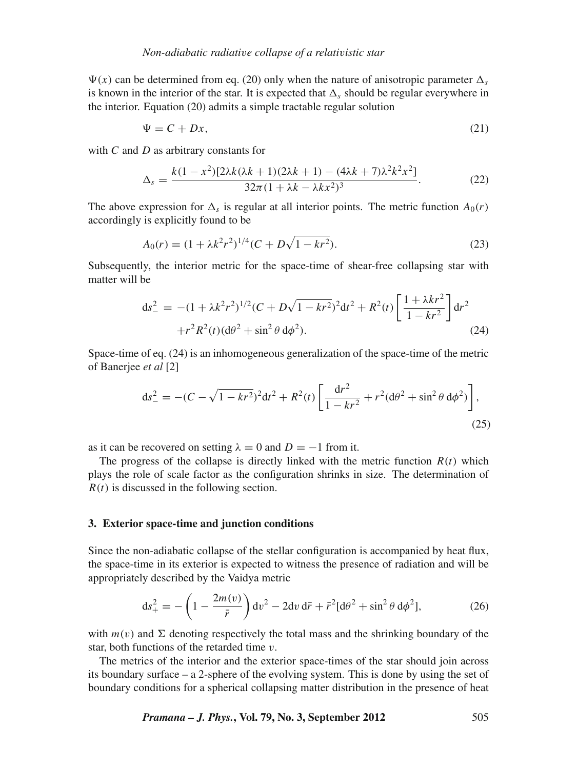$\Psi(x)$  can be determined from eq. (20) only when the nature of anisotropic parameter  $\Delta_s$ is known in the interior of the star. It is expected that  $\Delta_s$  should be regular everywhere in the interior. Equation (20) admits a simple tractable regular solution

$$
\Psi = C + Dx,\tag{21}
$$

with *C* and *D* as arbitrary constants for

$$
\Delta_s = \frac{k(1 - x^2)[2\lambda k(\lambda k + 1)(2\lambda k + 1) - (4\lambda k + 7)\lambda^2 k^2 x^2]}{32\pi (1 + \lambda k - \lambda k x^2)^3}.
$$
 (22)

The above expression for  $\Delta_s$  is regular at all interior points. The metric function  $A_0(r)$ accordingly is explicitly found to be

$$
A_0(r) = (1 + \lambda k^2 r^2)^{1/4} (C + D\sqrt{1 - kr^2}).
$$
\n(23)

Subsequently, the interior metric for the space-time of shear-free collapsing star with matter will be

$$
ds_{-}^{2} = -(1 + \lambda k^{2} r^{2})^{1/2} (C + D\sqrt{1 - kr^{2}})^{2} dt^{2} + R^{2}(t) \left[ \frac{1 + \lambda kr^{2}}{1 - kr^{2}} \right] dr^{2}
$$
  
+ 
$$
r^{2} R^{2}(t) (d\theta^{2} + \sin^{2} \theta d\phi^{2}).
$$
 (24)

Space-time of eq. (24) is an inhomogeneous generalization of the space-time of the metric of Banerjee *et al* [2]

$$
ds_{-}^{2} = -(C - \sqrt{1 - kr^{2}})^{2}dt^{2} + R^{2}(t)\left[\frac{dr^{2}}{1 - kr^{2}} + r^{2}(d\theta^{2} + \sin^{2}\theta \, d\phi^{2})\right],
$$
\n(25)

as it can be recovered on setting  $\lambda = 0$  and  $D = -1$  from it.

The progress of the collapse is directly linked with the metric function  $R(t)$  which plays the role of scale factor as the configuration shrinks in size. The determination of *R*(*t*) is discussed in the following section.

#### **3. Exterior space-time and junction conditions**

Since the non-adiabatic collapse of the stellar configuration is accompanied by heat flux, the space-time in its exterior is expected to witness the presence of radiation and will be appropriately described by the Vaidya metric

$$
ds_{+}^{2} = -\left(1 - \frac{2m(v)}{\bar{r}}\right)dv^{2} - 2dv d\bar{r} + \bar{r}^{2}[d\theta^{2} + \sin^{2}\theta d\phi^{2}],
$$
 (26)

with  $m(v)$  and  $\Sigma$  denoting respectively the total mass and the shrinking boundary of the star, both functions of the retarded time  $v$ .

The metrics of the interior and the exterior space-times of the star should join across its boundary surface – a 2-sphere of the evolving system. This is done by using the set of boundary conditions for a spherical collapsing matter distribution in the presence of heat

*Pramana – J. Phys.***, Vol. 79, No. 3, September 2012** 505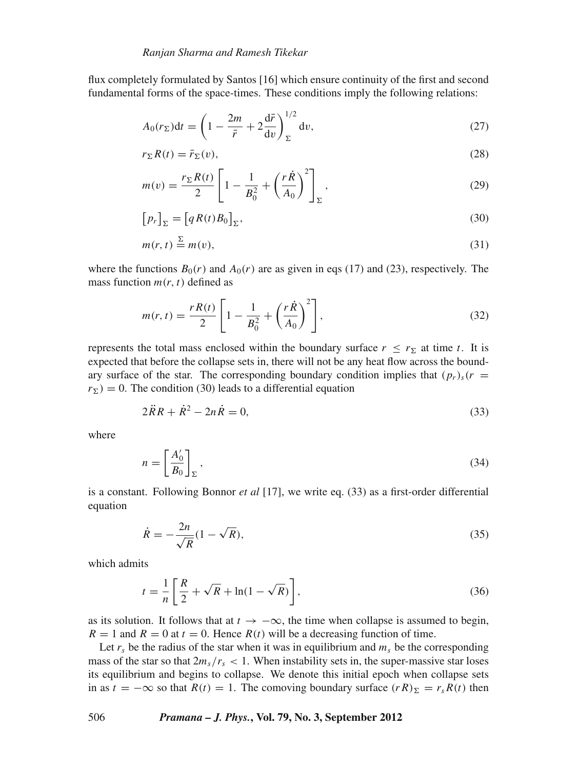flux completely formulated by Santos [16] which ensure continuity of the first and second fundamental forms of the space-times. These conditions imply the following relations:

$$
A_0(r_\Sigma)dt = \left(1 - \frac{2m}{\bar{r}} + 2\frac{d\bar{r}}{dv}\right)_\Sigma^{1/2} dv,
$$
\n(27)

$$
r_{\Sigma}R(t) = \bar{r}_{\Sigma}(v),\tag{28}
$$

$$
m(v) = \frac{r_{\Sigma}R(t)}{2}\left[1 - \frac{1}{B_0^2} + \left(\frac{r\dot{R}}{A_0}\right)^2\right]_{\Sigma},
$$
\n(29)

$$
[p_r]_{\Sigma} = [qR(t)B_0]_{\Sigma},
$$
\n(30)

$$
m(r, t) \stackrel{\Sigma}{=} m(v),\tag{31}
$$

where the functions  $B_0(r)$  and  $A_0(r)$  are as given in eqs (17) and (23), respectively. The mass function  $m(r, t)$  defined as

$$
m(r,t) = \frac{rR(t)}{2} \left[ 1 - \frac{1}{B_0^2} + \left(\frac{r\dot{R}}{A_0}\right)^2 \right],
$$
 (32)

represents the total mass enclosed within the boundary surface  $r \leq r_{\Sigma}$  at time *t*. It is expected that before the collapse sets in, there will not be any heat flow across the boundary surface of the star. The corresponding boundary condition implies that  $(p_r)_s(r =$  $r_{\Sigma}$ ) = 0. The condition (30) leads to a differential equation

$$
2\ddot{R}R + \dot{R}^2 - 2n\dot{R} = 0,\tag{33}
$$

where

$$
n = \left[\frac{A_0'}{B_0}\right]_{\Sigma},\tag{34}
$$

is a constant. Following Bonnor *et al* [17], we write eq. (33) as a first-order differential equation

$$
\dot{R} = -\frac{2n}{\sqrt{R}}(1 - \sqrt{R}),\tag{35}
$$

which admits

$$
t = \frac{1}{n} \left[ \frac{R}{2} + \sqrt{R} + \ln(1 - \sqrt{R}) \right],\tag{36}
$$

as its solution. It follows that at  $t \to -\infty$ , the time when collapse is assumed to begin,  $R = 1$  and  $R = 0$  at  $t = 0$ . Hence  $R(t)$  will be a decreasing function of time.

Let  $r_s$  be the radius of the star when it was in equilibrium and  $m_s$  be the corresponding mass of the star so that  $2m_s/r_s < 1$ . When instability sets in, the super-massive star loses its equilibrium and begins to collapse. We denote this initial epoch when collapse sets in as  $t = -\infty$  so that  $R(t) = 1$ . The comoving boundary surface  $(rR)_{\Sigma} = r_s R(t)$  then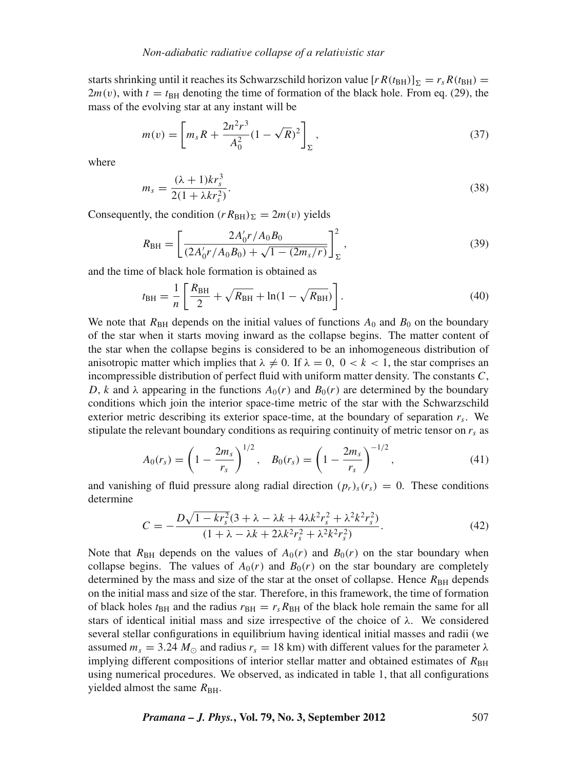starts shrinking until it reaches its Schwarzschild horizon value  $[rR(t_{BH})]_{\Sigma} = r_s R(t_{BH}) =$  $2m(v)$ , with  $t = t_{BH}$  denoting the time of formation of the black hole. From eq. (29), the mass of the evolving star at any instant will be

$$
m(v) = \left[ m_s R + \frac{2n^2 r^3}{A_0^2} (1 - \sqrt{R})^2 \right]_{\Sigma},
$$
\n(37)

where

$$
m_s = \frac{(\lambda + 1)kr_s^3}{2(1 + \lambda kr_s^2)}.
$$
\n(38)

Consequently, the condition  $(r R_{BH})_{\Sigma} = 2m(v)$  yields

$$
R_{\rm BH} = \left[ \frac{2A_0' r / A_0 B_0}{(2A_0' r / A_0 B_0) + \sqrt{1 - (2m_s/r)}} \right]_{\Sigma}^2, \tag{39}
$$

and the time of black hole formation is obtained as

$$
t_{\rm BH} = \frac{1}{n} \left[ \frac{R_{\rm BH}}{2} + \sqrt{R_{\rm BH}} + \ln(1 - \sqrt{R_{\rm BH}}) \right].
$$
 (40)

We note that  $R_{BH}$  depends on the initial values of functions  $A_0$  and  $B_0$  on the boundary of the star when it starts moving inward as the collapse begins. The matter content of the star when the collapse begins is considered to be an inhomogeneous distribution of anisotropic matter which implies that  $\lambda \neq 0$ . If  $\lambda = 0$ ,  $0 < k < 1$ , the star comprises an incompressible distribution of perfect fluid with uniform matter density. The constants *C*, *D*, *k* and  $\lambda$  appearing in the functions  $A_0(r)$  and  $B_0(r)$  are determined by the boundary conditions which join the interior space-time metric of the star with the Schwarzschild exterior metric describing its exterior space-time, at the boundary of separation *rs*. We stipulate the relevant boundary conditions as requiring continuity of metric tensor on  $r<sub>s</sub>$  as

$$
A_0(r_s) = \left(1 - \frac{2m_s}{r_s}\right)^{1/2}, \quad B_0(r_s) = \left(1 - \frac{2m_s}{r_s}\right)^{-1/2},\tag{41}
$$

and vanishing of fluid pressure along radial direction  $(p_r)_s(r_s) = 0$ . These conditions determine

$$
C = -\frac{D\sqrt{1 - kr_s^2}(3 + \lambda - \lambda k + 4\lambda k^2 r_s^2 + \lambda^2 k^2 r_s^2)}{(1 + \lambda - \lambda k + 2\lambda k^2 r_s^2 + \lambda^2 k^2 r_s^2)}.
$$
\n(42)

Note that  $R_{BH}$  depends on the values of  $A_0(r)$  and  $B_0(r)$  on the star boundary when collapse begins. The values of  $A_0(r)$  and  $B_0(r)$  on the star boundary are completely determined by the mass and size of the star at the onset of collapse. Hence  $R_{\text{BH}}$  depends on the initial mass and size of the star. Therefore, in this framework, the time of formation of black holes  $t_{BH}$  and the radius  $r_{BH} = r_s R_{BH}$  of the black hole remain the same for all stars of identical initial mass and size irrespective of the choice of  $\lambda$ . We considered several stellar configurations in equilibrium having identical initial masses and radii (we assumed  $m_s = 3.24 M_{\odot}$  and radius  $r_s = 18$  km) with different values for the parameter  $\lambda$ implying different compositions of interior stellar matter and obtained estimates of  $R_{\text{BH}}$ using numerical procedures. We observed, as indicated in table 1, that all configurations yielded almost the same  $R_{\rm BH}$ .

*Pramana – J. Phys.***, Vol. 79, No. 3, September 2012** 507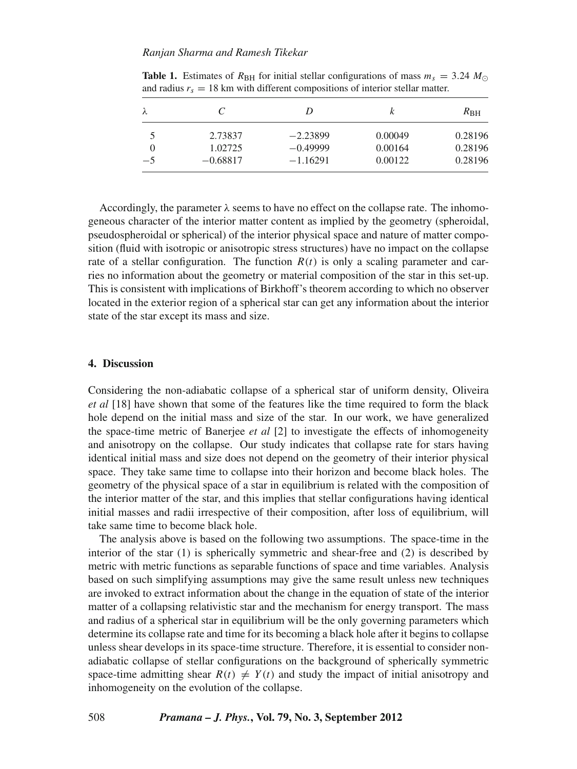| λ    |            | D          |         | $R_{\rm BH}$ |
|------|------------|------------|---------|--------------|
| 5    | 2.73837    | $-2.23899$ | 0.00049 | 0.28196      |
|      | 1.02725    | $-0.49999$ | 0.00164 | 0.28196      |
| $-5$ | $-0.68817$ | $-1.16291$ | 0.00122 | 0.28196      |

**Table 1.** Estimates of  $R_{\text{BH}}$  for initial stellar configurations of mass  $m_s = 3.24$   $M_{\odot}$ and radius  $r_s = 18$  km with different compositions of interior stellar matter.

Accordingly, the parameter  $\lambda$  seems to have no effect on the collapse rate. The inhomogeneous character of the interior matter content as implied by the geometry (spheroidal, pseudospheroidal or spherical) of the interior physical space and nature of matter composition (fluid with isotropic or anisotropic stress structures) have no impact on the collapse rate of a stellar configuration. The function  $R(t)$  is only a scaling parameter and carries no information about the geometry or material composition of the star in this set-up. This is consistent with implications of Birkhoff's theorem according to which no observer located in the exterior region of a spherical star can get any information about the interior state of the star except its mass and size.

#### **4. Discussion**

Considering the non-adiabatic collapse of a spherical star of uniform density, Oliveira *et al* [18] have shown that some of the features like the time required to form the black hole depend on the initial mass and size of the star. In our work, we have generalized the space-time metric of Banerjee *et al* [2] to investigate the effects of inhomogeneity and anisotropy on the collapse. Our study indicates that collapse rate for stars having identical initial mass and size does not depend on the geometry of their interior physical space. They take same time to collapse into their horizon and become black holes. The geometry of the physical space of a star in equilibrium is related with the composition of the interior matter of the star, and this implies that stellar configurations having identical initial masses and radii irrespective of their composition, after loss of equilibrium, will take same time to become black hole.

The analysis above is based on the following two assumptions. The space-time in the interior of the star (1) is spherically symmetric and shear-free and (2) is described by metric with metric functions as separable functions of space and time variables. Analysis based on such simplifying assumptions may give the same result unless new techniques are invoked to extract information about the change in the equation of state of the interior matter of a collapsing relativistic star and the mechanism for energy transport. The mass and radius of a spherical star in equilibrium will be the only governing parameters which determine its collapse rate and time for its becoming a black hole after it begins to collapse unless shear develops in its space-time structure. Therefore, it is essential to consider nonadiabatic collapse of stellar configurations on the background of spherically symmetric space-time admitting shear  $R(t) \neq Y(t)$  and study the impact of initial anisotropy and inhomogeneity on the evolution of the collapse.